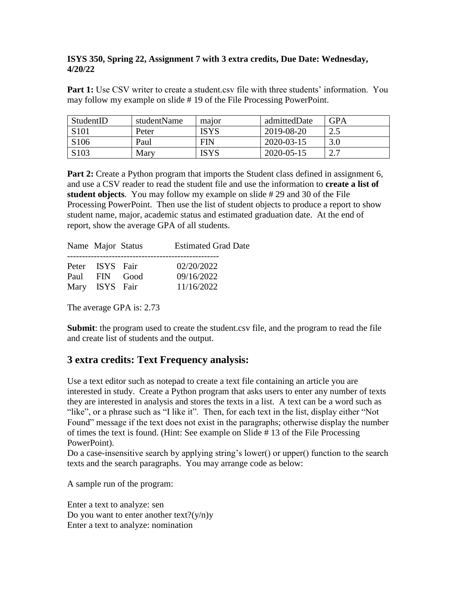## **ISYS 350, Spring 22, Assignment 7 with 3 extra credits, Due Date: Wednesday, 4/20/22**

**Part 1:** Use CSV writer to create a student.csv file with three students' information. You may follow my example on slide # 19 of the File Processing PowerPoint.

| StudentID        | studentName | major       | admittedDate | <b>GPA</b>  |
|------------------|-------------|-------------|--------------|-------------|
| S <sub>101</sub> | Peter       | <b>ISYS</b> | 2019-08-20   | っょ<br>ے . ب |
| S <sub>106</sub> | Paul        | <b>FIN</b>  | 2020-03-15   | 3.0         |
| S <sub>103</sub> | Mary        | <b>ISYS</b> | 2020-05-15   |             |

**Part 2:** Create a Python program that imports the Student class defined in assignment 6, and use a CSV reader to read the student file and use the information to **create a list of student objects**. You may follow my example on slide # 29 and 30 of the File Processing PowerPoint. Then use the list of student objects to produce a report to show student name, major, academic status and estimated graduation date. At the end of report, show the average GPA of all students.

| Name Major Status               | <b>Estimated Grad Date</b> |
|---------------------------------|----------------------------|
| Peter ISYS Fair                 | 02/20/2022                 |
| Paul FIN Good<br>Mary ISYS Fair | 09/16/2022<br>11/16/2022   |

The average GPA is: 2.73

**Submit:** the program used to create the student.csv file, and the program to read the file and create list of students and the output.

## **3 extra credits: Text Frequency analysis:**

Use a text editor such as notepad to create a text file containing an article you are interested in study. Create a Python program that asks users to enter any number of texts they are interested in analysis and stores the texts in a list. A text can be a word such as "like", or a phrase such as "I like it". Then, for each text in the list, display either "Not Found" message if the text does not exist in the paragraphs; otherwise display the number of times the text is found. (Hint: See example on Slide # 13 of the File Processing PowerPoint).

Do a case-insensitive search by applying string's lower() or upper() function to the search texts and the search paragraphs. You may arrange code as below:

A sample run of the program:

Enter a text to analyze: sen Do you want to enter another text? $(y/n)y$ Enter a text to analyze: nomination